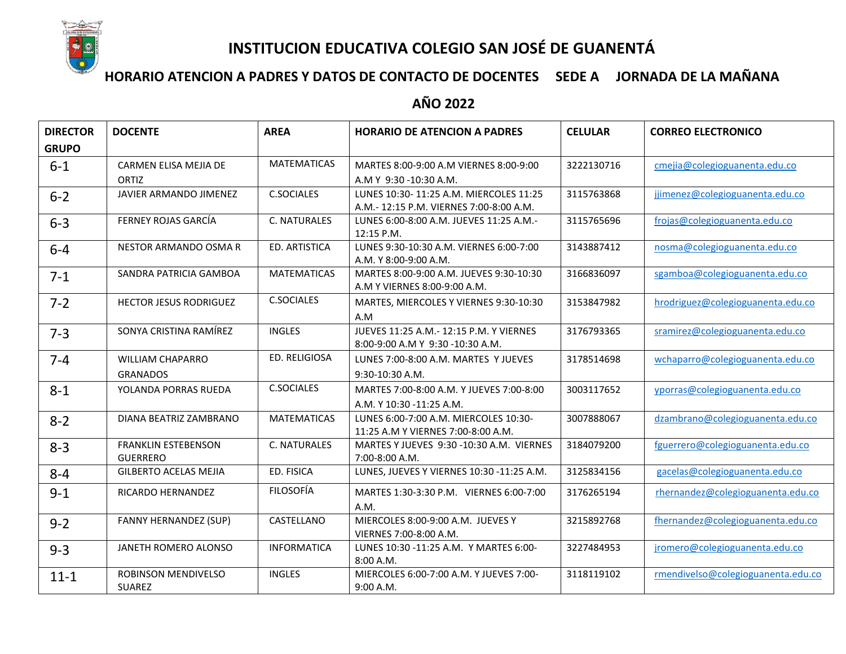

# **INSTITUCION EDUCATIVA COLEGIO SAN JOSÉ DE GUANENTÁ**

## **HORARIO ATENCION A PADRES Y DATOS DE CONTACTO DE DOCENTES SEDE A JORNADA DE LA MAÑANA**

## **AÑO 2022**

| <b>DIRECTOR</b> | <b>DOCENTE</b>                | <b>AREA</b>        | <b>HORARIO DE ATENCION A PADRES</b>                                         | <b>CELULAR</b> | <b>CORREO ELECTRONICO</b>          |
|-----------------|-------------------------------|--------------------|-----------------------------------------------------------------------------|----------------|------------------------------------|
| <b>GRUPO</b>    |                               |                    |                                                                             |                |                                    |
| $6 - 1$         | CARMEN ELISA MEJIA DE         | <b>MATEMATICAS</b> | MARTES 8:00-9:00 A.M VIERNES 8:00-9:00                                      | 3222130716     | cmejia@colegioguanenta.edu.co      |
|                 | ORTIZ                         |                    | A.M Y 9:30 -10:30 A.M.                                                      |                |                                    |
| $6 - 2$         | JAVIER ARMANDO JIMENEZ        | <b>C.SOCIALES</b>  | LUNES 10:30-11:25 A.M. MIERCOLES 11:25                                      | 3115763868     | jjimenez@colegioguanenta.edu.co    |
|                 |                               |                    | A.M.- 12:15 P.M. VIERNES 7:00-8:00 A.M.                                     |                |                                    |
| $6 - 3$         | FERNEY ROJAS GARCÍA           | C. NATURALES       | LUNES 6:00-8:00 A.M. JUEVES 11:25 A.M.-<br>12:15 P.M.                       | 3115765696     | frojas@colegioguanenta.edu.co      |
| $6 - 4$         | NESTOR ARMANDO OSMA R         | ED. ARTISTICA      | LUNES 9:30-10:30 A.M. VIERNES 6:00-7:00                                     | 3143887412     | nosma@colegioguanenta.edu.co       |
|                 |                               |                    | A.M. Y 8:00-9:00 A.M.                                                       |                |                                    |
| $7-1$           | SANDRA PATRICIA GAMBOA        | <b>MATEMATICAS</b> | MARTES 8:00-9:00 A.M. JUEVES 9:30-10:30<br>A.M Y VIERNES 8:00-9:00 A.M.     | 3166836097     | sgamboa@colegioguanenta.edu.co     |
| $7 - 2$         | <b>HECTOR JESUS RODRIGUEZ</b> | <b>C.SOCIALES</b>  | MARTES, MIERCOLES Y VIERNES 9:30-10:30                                      | 3153847982     | hrodriguez@colegioguanenta.edu.co  |
|                 |                               |                    | A.M                                                                         |                |                                    |
| $7 - 3$         | SONYA CRISTINA RAMÍREZ        | <b>INGLES</b>      | JUEVES 11:25 A.M. - 12:15 P.M. Y VIERNES                                    | 3176793365     | sramirez@colegioguanenta.edu.co    |
|                 |                               |                    | 8:00-9:00 A.M Y 9:30 -10:30 A.M.                                            |                |                                    |
| $7 - 4$         | <b>WILLIAM CHAPARRO</b>       | ED. RELIGIOSA      | LUNES 7:00-8:00 A.M. MARTES Y JUEVES                                        | 3178514698     | wchaparro@colegioguanenta.edu.co   |
|                 | <b>GRANADOS</b>               |                    | 9:30-10:30 A.M.                                                             |                |                                    |
| $8 - 1$         | YOLANDA PORRAS RUEDA          | <b>C.SOCIALES</b>  | MARTES 7:00-8:00 A.M. Y JUEVES 7:00-8:00                                    | 3003117652     | yporras@colegioguanenta.edu.co     |
|                 |                               |                    | A.M. Y 10:30 -11:25 A.M.                                                    |                |                                    |
| $8 - 2$         | DIANA BEATRIZ ZAMBRANO        | <b>MATEMATICAS</b> | LUNES 6:00-7:00 A.M. MIERCOLES 10:30-<br>11:25 A.M Y VIERNES 7:00-8:00 A.M. | 3007888067     | dzambrano@colegioguanenta.edu.co   |
| $8 - 3$         | <b>FRANKLIN ESTEBENSON</b>    | C. NATURALES       | MARTES Y JUEVES 9:30 -10:30 A.M. VIERNES                                    | 3184079200     | fguerrero@colegioguanenta.edu.co   |
|                 | <b>GUERRERO</b>               |                    | 7:00-8:00 A.M.                                                              |                |                                    |
| $8 - 4$         | <b>GILBERTO ACELAS MEJIA</b>  | ED. FISICA         | LUNES, JUEVES Y VIERNES 10:30 -11:25 A.M.                                   | 3125834156     | gacelas@colegioguanenta.edu.co     |
| $9 - 1$         | RICARDO HERNANDEZ             | <b>FILOSOFÍA</b>   | MARTES 1:30-3:30 P.M. VIERNES 6:00-7:00                                     | 3176265194     | rhernandez@colegioguanenta.edu.co  |
|                 |                               |                    | A.M.                                                                        |                |                                    |
| $9 - 2$         | <b>FANNY HERNANDEZ (SUP)</b>  | CASTELLANO         | MIERCOLES 8:00-9:00 A.M. JUEVES Y                                           | 3215892768     | fhernandez@colegioguanenta.edu.co  |
|                 |                               |                    | VIERNES 7:00-8:00 A.M.                                                      |                |                                    |
| $9 - 3$         | JANETH ROMERO ALONSO          | <b>INFORMATICA</b> | LUNES 10:30 -11:25 A.M. Y MARTES 6:00-                                      | 3227484953     | jromero@colegioguanenta.edu.co     |
|                 |                               |                    | 8:00 A.M.                                                                   |                |                                    |
| $11 - 1$        | ROBINSON MENDIVELSO           | <b>INGLES</b>      | MIERCOLES 6:00-7:00 A.M. Y JUEVES 7:00-                                     | 3118119102     | rmendivelso@colegioguanenta.edu.co |
|                 | <b>SUAREZ</b>                 |                    | 9:00 A.M.                                                                   |                |                                    |